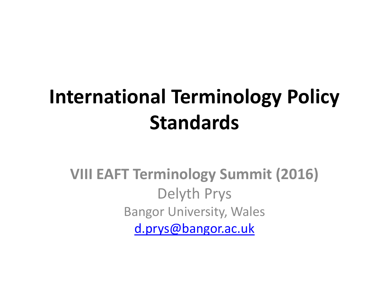#### **International Terminology Policy Standards**

**VIII EAFT Terminology Summit (2016)**  Delyth Prys Bangor University, Wales [d.prys@bangor.ac.uk](mailto:d.prys@bangor.ac.uk)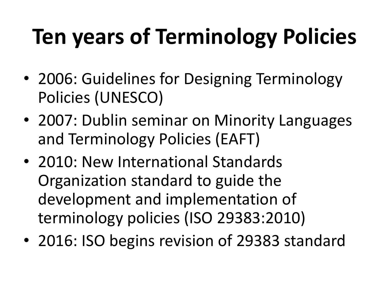# **Ten years of Terminology Policies**

- 2006: Guidelines for Designing Terminology Policies (UNESCO)
- 2007: Dublin seminar on Minority Languages and Terminology Policies (EAFT)
- 2010: New International Standards Organization standard to guide the development and implementation of terminology policies (ISO 29383:2010)
- 2016: ISO begins revision of 29383 standard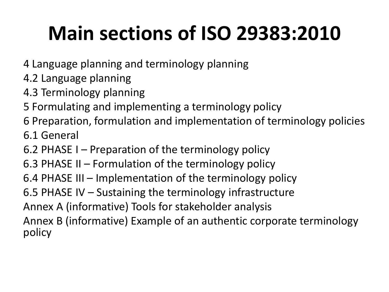### **Main sections of ISO 29383:2010**

- 4 Language planning and terminology planning
- 4.2 Language planning
- 4.3 Terminology planning
- 5 Formulating and implementing a terminology policy
- 6 Preparation, formulation and implementation of terminology policies
- 6.1 General
- 6.2 PHASE I Preparation of the terminology policy
- 6.3 PHASE II Formulation of the terminology policy
- 6.4 PHASE III Implementation of the terminology policy
- 6.5 PHASE IV Sustaining the terminology infrastructure
- Annex A (informative) Tools for stakeholder analysis
- Annex B (informative) Example of an authentic corporate terminology policy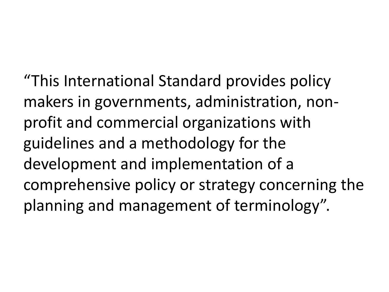"This International Standard provides policy makers in governments, administration, nonprofit and commercial organizations with guidelines and a methodology for the development and implementation of a comprehensive policy or strategy concerning the planning and management of terminology".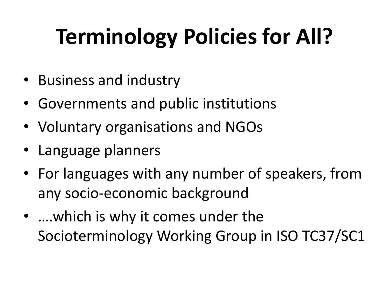# **Terminology Policies for All?**

- Business and industry
- Governments and public institutions
- Voluntary organisations and NGOs
- Language planners
- For languages with any number of speakers, from any socio-economic background
- ….which is why it comes under the Socioterminology Working Group in ISO TC37/SC1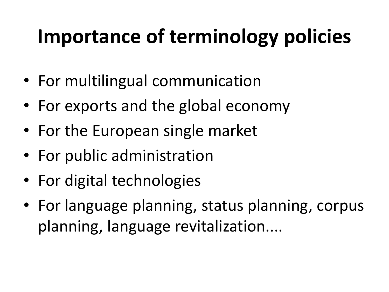### **Importance of terminology policies**

- For multilingual communication
- For exports and the global economy
- For the European single market
- For public administration
- For digital technologies
- For language planning, status planning, corpus planning, language revitalization....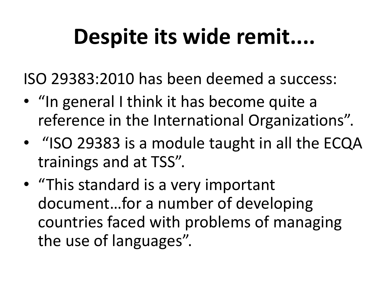# **Despite its wide remit....**

ISO 29383:2010 has been deemed a success:

- "In general I think it has become quite a reference in the International Organizations".
- "ISO 29383 is a module taught in all the ECQA trainings and at TSS".
- "This standard is a very important document…for a number of developing countries faced with problems of managing the use of languages".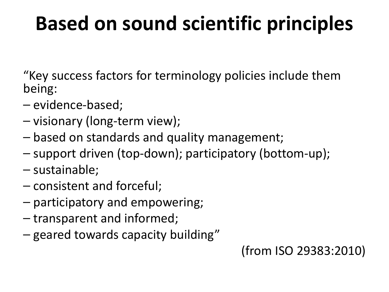#### **Based on sound scientific principles**

"Key success factors for terminology policies include them being:

- evidence-based;
- ⎯ visionary (long-term view);
- $-$  based on standards and quality management;
- ⎯ support driven (top-down); participatory (bottom-up);
- ⎯ sustainable;
- ⎯ consistent and forceful;
- ⎯ participatory and empowering;
- ⎯ transparent and informed;
- geared towards capacity building"

(from ISO 29383:2010)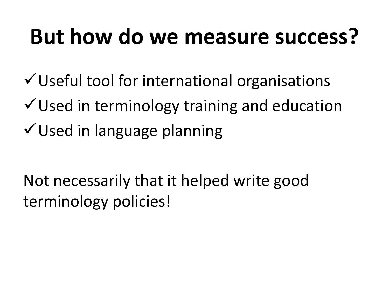# **But how do we measure success?**

- $\checkmark$  Useful tool for international organisations
- $\checkmark$  Used in terminology training and education
- Used in language planning

Not necessarily that it helped write good terminology policies!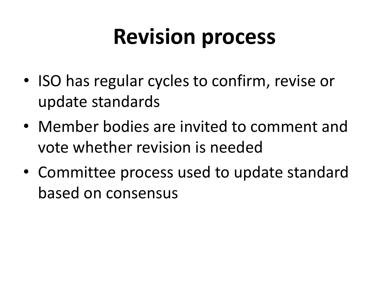### **Revision process**

- ISO has regular cycles to confirm, revise or update standards
- Member bodies are invited to comment and vote whether revision is needed
- Committee process used to update standard based on consensus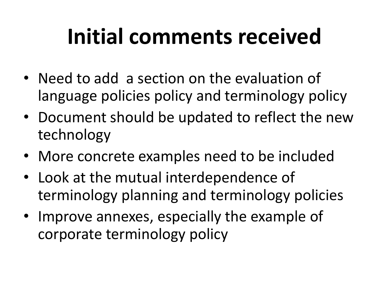# **Initial comments received**

- Need to add a section on the evaluation of language policies policy and terminology policy
- Document should be updated to reflect the new technology
- More concrete examples need to be included
- Look at the mutual interdependence of terminology planning and terminology policies
- Improve annexes, especially the example of corporate terminology policy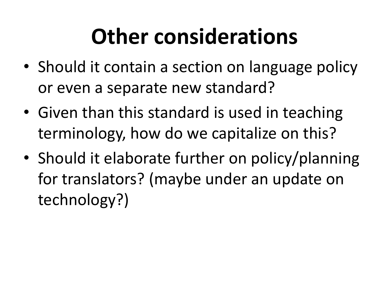# **Other considerations**

- Should it contain a section on language policy or even a separate new standard?
- Given than this standard is used in teaching terminology, how do we capitalize on this?
- Should it elaborate further on policy/planning for translators? (maybe under an update on technology?)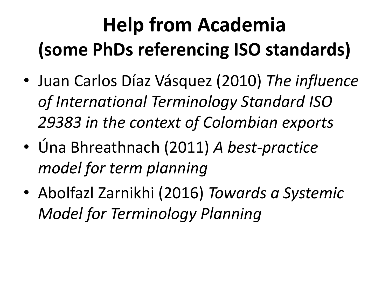### **Help from Academia (some PhDs referencing ISO standards)**

- Juan Carlos Díaz Vásquez (2010) *The influence of International Terminology Standard ISO 29383 in the context of Colombian exports*
- Úna Bhreathnach (2011) *A best-practice model for term planning*
- Abolfazl Zarnikhi (2016) *Towards a Systemic Model for Terminology Planning*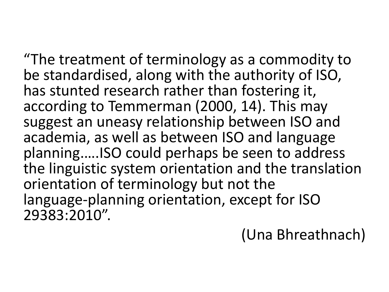"The treatment of terminology as a commodity to be standardised, along with the authority of ISO, has stunted research rather than fostering it, according to Temmerman (2000, 14). This may suggest an uneasy relationship between ISO and academia, as well as between ISO and language planning.….ISO could perhaps be seen to address the linguistic system orientation and the translation orientation of terminology but not the language‐planning orientation, except for ISO 29383:2010".

#### (Una Bhreathnach)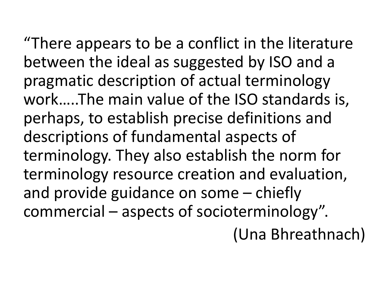"There appears to be a conflict in the literature between the ideal as suggested by ISO and a pragmatic description of actual terminology work…..The main value of the ISO standards is, perhaps, to establish precise definitions and descriptions of fundamental aspects of terminology. They also establish the norm for terminology resource creation and evaluation, and provide guidance on some – chiefly commercial – aspects of socioterminology". (Una Bhreathnach)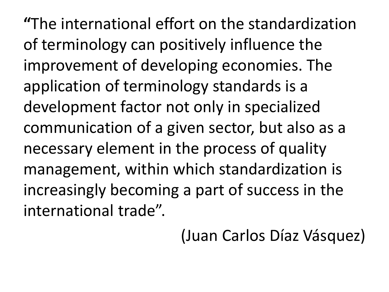**"**The international effort on the standardization of terminology can positively influence the improvement of developing economies. The application of terminology standards is a development factor not only in specialized communication of a given sector, but also as a necessary element in the process of quality management, within which standardization is increasingly becoming a part of success in the international trade".

#### (Juan Carlos Díaz Vásquez)